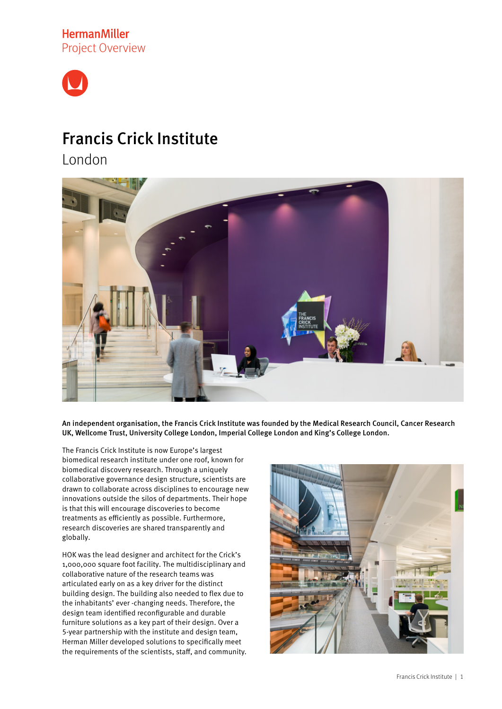**HermanMiller** Project Overview



# Francis Crick Institute

London



An independent organisation, the Francis Crick Institute was founded by the Medical Research Council, Cancer Research UK, Wellcome Trust, University College London, Imperial College London and King's College London.

The Francis Crick Institute is now Europe's largest biomedical research institute under one roof, known for biomedical discovery research. Through a uniquely collaborative governance design structure, scientists are drawn to collaborate across disciplines to encourage new innovations outside the silos of departments. Their hope is that this will encourage discoveries to become treatments as efficiently as possible. Furthermore, research discoveries are shared transparently and globally.

HOK was the lead designer and architect for the Crick's 1,000,000 square foot facility. The multidisciplinary and collaborative nature of the research teams was articulated early on as a key driver for the distinct building design. The building also needed to flex due to the inhabitants' ever -changing needs. Therefore, the design team identified reconfigurable and durable furniture solutions as a key part of their design. Over a 5-year partnership with the institute and design team, Herman Miller developed solutions to specifically meet the requirements of the scientists, staff, and community.

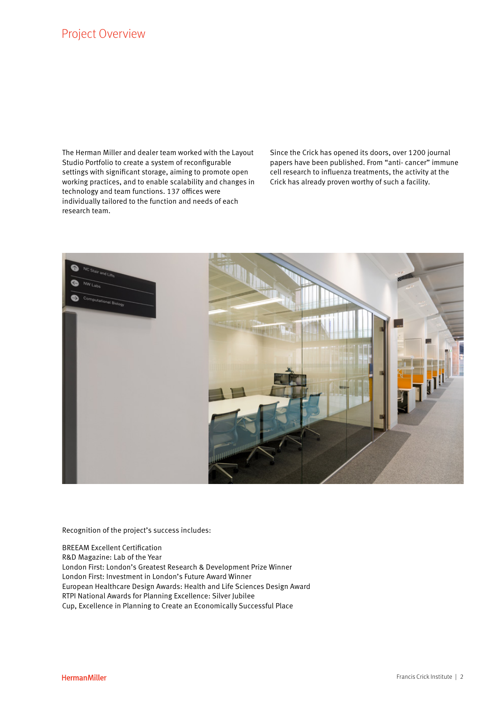The Herman Miller and dealer team worked with the Layout Studio Portfolio to create a system of reconfigurable settings with significant storage, aiming to promote open working practices, and to enable scalability and changes in technology and team functions. 137 offices were individually tailored to the function and needs of each research team.

Since the Crick has opened its doors, over 1200 journal papers have been published. From "anti- cancer" immune cell research to influenza treatments, the activity at the Crick has already proven worthy of such a facility.



Recognition of the project's success includes:

BREEAM Excellent Certification R&D Magazine: Lab of the Year London First: London's Greatest Research & Development Prize Winner London First: Investment in London's Future Award Winner European Healthcare Design Awards: Health and Life Sciences Design Award RTPI National Awards for Planning Excellence: Silver Jubilee Cup, Excellence in Planning to Create an Economically Successful Place